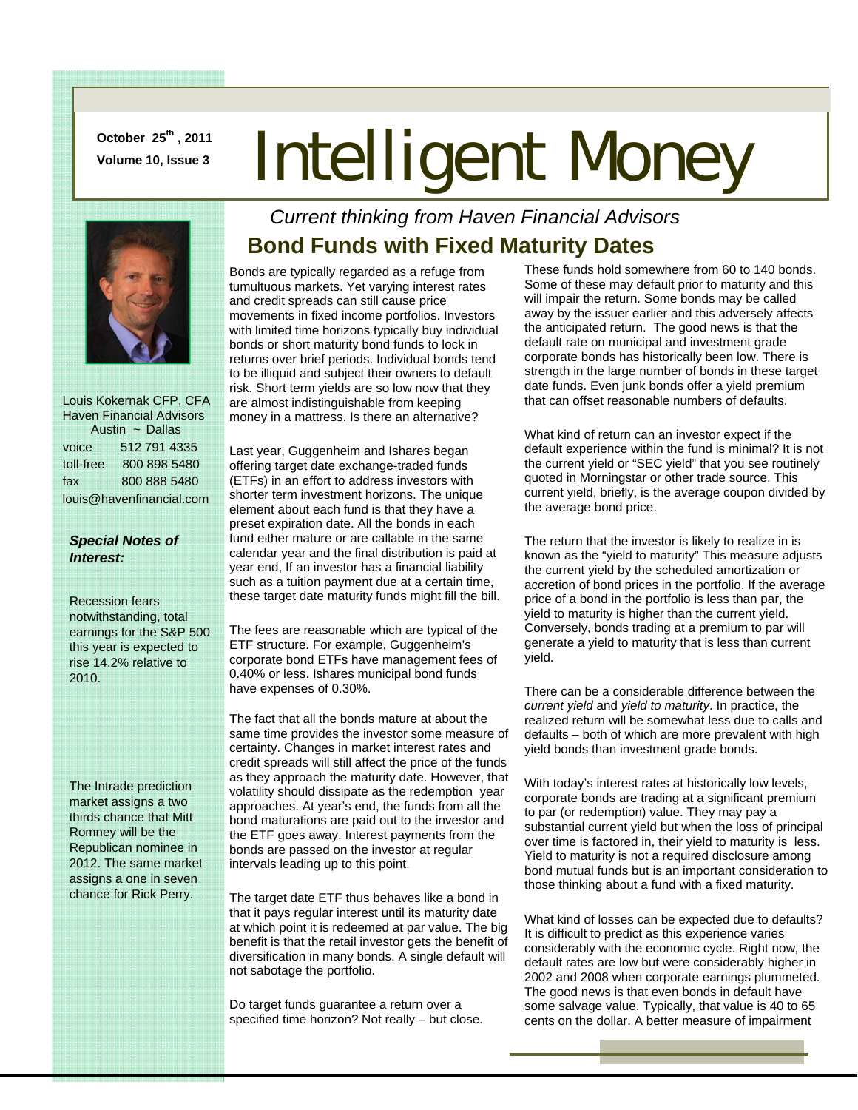**October 25th , 2011** 

# **Doctober 25<sup>th</sup>, 2011</u> Intelligent Money**



 Louis Kokernak CFP, CFA Haven Financial Advisors Austin ~ Dallas voice 512 791 4335 toll-free 800 898 5480 fax 800 888 5480 louis@havenfinancial.com

#### *Special Notes of Interest:*

Recession fears notwithstanding, total earnings for the S&P 500 this year is expected to rise 14.2% relative to 2010.

The Intrade prediction market assigns a two thirds chance that Mitt Romney will be the Republican nominee in 2012. The same market assigns a one in seven chance for Rick Perry.

#### *Current thinking from Haven Financial Advisors*  **Bond Funds with Fixed Maturity Dates**

Bonds are typically regarded as a refuge from tumultuous markets. Yet varying interest rates and credit spreads can still cause price movements in fixed income portfolios. Investors with limited time horizons typically buy individual bonds or short maturity bond funds to lock in returns over brief periods. Individual bonds tend to be illiquid and subject their owners to default risk. Short term yields are so low now that they are almost indistinguishable from keeping money in a mattress. Is there an alternative?

Last year, Guggenheim and Ishares began offering target date exchange-traded funds (ETFs) in an effort to address investors with shorter term investment horizons. The unique element about each fund is that they have a preset expiration date. All the bonds in each fund either mature or are callable in the same calendar year and the final distribution is paid at year end, If an investor has a financial liability such as a tuition payment due at a certain time, these target date maturity funds might fill the bill.

The fees are reasonable which are typical of the ETF structure. For example, Guggenheim's corporate bond ETFs have management fees of 0.40% or less. Ishares municipal bond funds have expenses of 0.30%.

The fact that all the bonds mature at about the same time provides the investor some measure of certainty. Changes in market interest rates and credit spreads will still affect the price of the funds as they approach the maturity date. However, that volatility should dissipate as the redemption year approaches. At year's end, the funds from all the bond maturations are paid out to the investor and the ETF goes away. Interest payments from the bonds are passed on the investor at regular intervals leading up to this point.

The target date ETF thus behaves like a bond in that it pays regular interest until its maturity date at which point it is redeemed at par value. The big benefit is that the retail investor gets the benefit of diversification in many bonds. A single default will not sabotage the portfolio.

Do target funds guarantee a return over a specified time horizon? Not really – but close. These funds hold somewhere from 60 to 140 bonds. Some of these may default prior to maturity and this will impair the return. Some bonds may be called away by the issuer earlier and this adversely affects the anticipated return. The good news is that the default rate on municipal and investment grade corporate bonds has historically been low. There is strength in the large number of bonds in these target date funds. Even junk bonds offer a yield premium that can offset reasonable numbers of defaults.

What kind of return can an investor expect if the default experience within the fund is minimal? It is not the current yield or "SEC yield" that you see routinely quoted in Morningstar or other trade source. This current yield, briefly, is the average coupon divided by the average bond price.

The return that the investor is likely to realize in is known as the "yield to maturity" This measure adjusts the current yield by the scheduled amortization or accretion of bond prices in the portfolio. If the average price of a bond in the portfolio is less than par, the yield to maturity is higher than the current yield. Conversely, bonds trading at a premium to par will generate a yield to maturity that is less than current yield.

There can be a considerable difference between the *current yield* and *yield to maturity*. In practice, the realized return will be somewhat less due to calls and defaults – both of which are more prevalent with high yield bonds than investment grade bonds.

With today's interest rates at historically low levels, corporate bonds are trading at a significant premium to par (or redemption) value. They may pay a substantial current yield but when the loss of principal over time is factored in, their yield to maturity is less. Yield to maturity is not a required disclosure among bond mutual funds but is an important consideration to those thinking about a fund with a fixed maturity.

What kind of losses can be expected due to defaults? It is difficult to predict as this experience varies considerably with the economic cycle. Right now, the default rates are low but were considerably higher in 2002 and 2008 when corporate earnings plummeted. The good news is that even bonds in default have some salvage value. Typically, that value is 40 to 65 cents on the dollar. A better measure of impairment